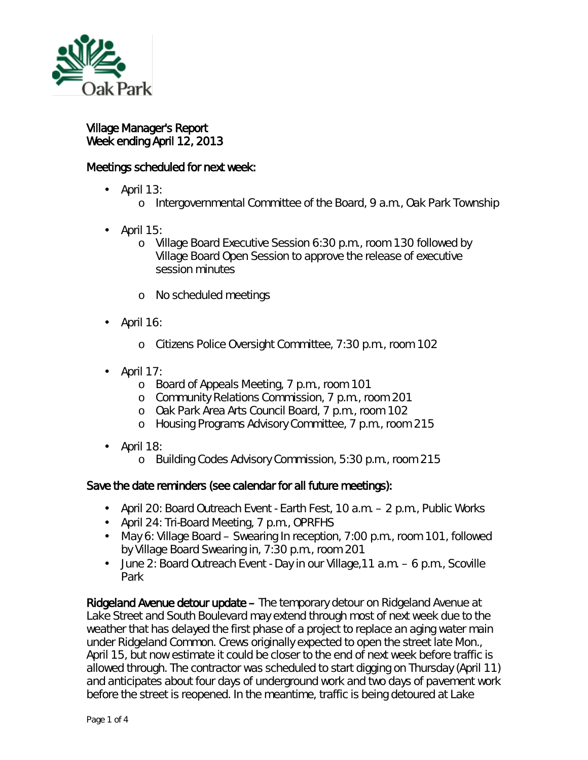

l,

Village Manager's Report Week ending April 12, 2013

## Meetings scheduled for next week:

- April 13:
	- o Intergovernmental Committee of the Board, 9 a.m., Oak Park Township
- April 15: L.
	- o Village Board Executive Session 6:30 p.m., room 130 followed by Village Board Open Session to approve the release of executive session minutes
	- o No scheduled meetings
- April 16:  $\blacksquare$ 
	- o Citizens Police Oversight Committee, 7:30 p.m., room 102
- April 17: l,
	- o Board of Appeals Meeting, 7 p.m., room 101
	- o Community Relations Commission, 7 p.m., room 201
	- o Oak Park Area Arts Council Board, 7 p.m., room 102
	- o Housing Programs Advisory Committee, 7 p.m., room 215
- April 18: ä,
	- o Building Codes Advisory Commission, 5:30 p.m., room 215

## Save the date reminders (see calendar for all future meetings):

- April 20: Board Outreach Event Earth Fest, 10 a.m. 2 p.m., Public Works
- April 24: Tri-Board Meeting, 7 p.m., OPRFHS
- May 6: Village Board Swearing In reception, 7:00 p.m., room 101, followed  $\mathcal{L}^{\text{max}}$ by Village Board Swearing in, 7:30 p.m., room 201
- June 2: Board Outreach Event Day in our Village,11 a.m. 6 p.m., Scoville  $\mathbf{r} = \mathbf{r}$ Park

Ridgeland Avenue detour update – The temporary detour on Ridgeland Avenue at Lake Street and South Boulevard may extend through most of next week due to the weather that has delayed the first phase of a project to replace an aging water main under Ridgeland Common. Crews originally expected to open the street late Mon., April 15, but now estimate it could be closer to the end of next week before traffic is allowed through. The contractor was scheduled to start digging on Thursday (April 11) and anticipates about four days of underground work and two days of pavement work before the street is reopened. In the meantime, traffic is being detoured at Lake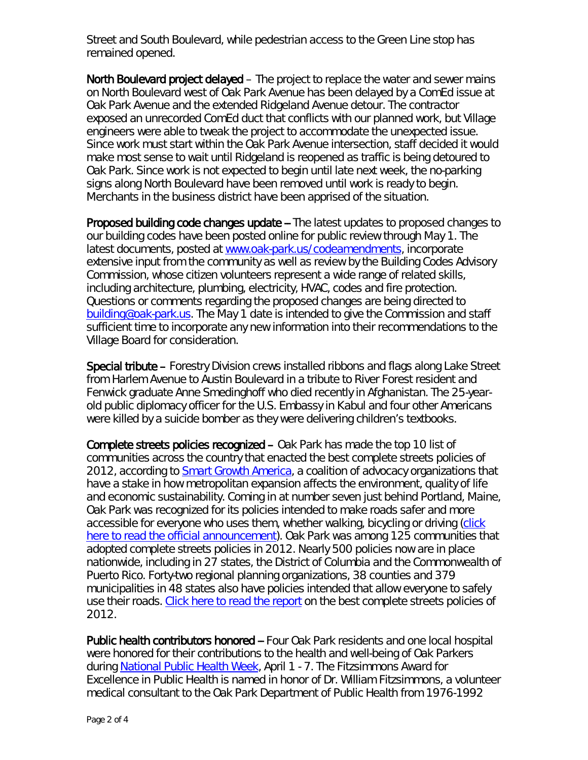Street and South Boulevard, while pedestrian access to the Green Line stop has remained opened.

North Boulevard project delayed – The project to replace the water and sewer mains on North Boulevard west of Oak Park Avenue has been delayed by a ComEd issue at Oak Park Avenue and the extended Ridgeland Avenue detour. The contractor exposed an unrecorded ComEd duct that conflicts with our planned work, but Village engineers were able to tweak the project to accommodate the unexpected issue. Since work must start within the Oak Park Avenue intersection, staff decided it would make most sense to wait until Ridgeland is reopened as traffic is being detoured to Oak Park. Since work is not expected to begin until late next week, the no-parking signs along North Boulevard have been removed until work is ready to begin. Merchants in the business district have been apprised of the situation.

Proposed building code changes update -- The latest updates to proposed changes to our building codes have been posted online for public review through May 1. The latest documents, posted at [www.oak-park.us/codeamendments,](http://r20.rs6.net/tn.jsp?e=001GNLBLqTAHkQfvMSH0jufc-Y7vuf5ASwdub5Xm2SNKbUKSWia43i7gQaAXq38ntrd9BMGL_jle7YtRWOVuhJ9n18OKZoqS7ui5fObMkaEaPBfFKzD5gYLGQ==) incorporate extensive input from the community as well as review by the Building Codes Advisory Commission, whose citizen volunteers represent a wide range of related skills, including architecture, plumbing, electricity, HVAC, codes and fire protection. Questions or comments regarding the proposed changes are being directed to [building@oak-park.us.](mailto:building@oak-park.us) The May 1 date is intended to give the Commission and staff sufficient time to incorporate any new information into their recommendations to the Village Board for consideration.

Special tribute – Forestry Division crews installed ribbons and flags along Lake Street from Harlem Avenue to Austin Boulevard in a tribute to River Forest resident and Fenwick graduate Anne Smedinghoff who died recently in Afghanistan. The 25-yearold public diplomacy officer for the U.S. Embassy in Kabul and four other Americans were killed by a suicide bomber as they were delivering children's textbooks.

Complete streets policies recognized – Oak Park has made the top 10 list of communities across the country that enacted the best complete streets policies of 2012, according to [Smart Growth America,](http://www.smartgrowthamerica.org/) a coalition of advocacy organizations that have a stake in how metropolitan expansion affects the environment, quality of life and economic sustainability. Coming in at number seven just behind Portland, Maine, Oak Park was recognized for its policies intended to make roads safer and more accessible for everyone who uses them, whether walking, bicycling or driving [\(click](http://www.smartgrowthamerica.org/2013/04/08/announcing-the-best-complete-streets-policies-of-2012/)  [here to read the official announcement\)](http://www.smartgrowthamerica.org/2013/04/08/announcing-the-best-complete-streets-policies-of-2012/). Oak Park was among 125 communities that adopted complete streets policies in 2012. Nearly 500 policies now are in place nationwide, including in 27 states, the District of Columbia and the Commonwealth of Puerto Rico. Forty-two regional planning organizations, 38 counties and 379 municipalities in 48 states also have policies intended that allow everyone to safely use their roads. [Click here to read the report](http://www.smartgrowthamerica.org/documents/cs-2012-policy-analysis.pdf) on the best complete streets policies of 2012.

Public health contributors honored -- Four Oak Park residents and one local hospital were honored for their contributions to the health and well-being of Oak Parkers during [National Public Health Week,](http://www.nphw.org/nphw09/default.htm) April 1 - 7. The *Fitzsimmons Award for Excellence in Public Health* is named in honor of Dr. William Fitzsimmons, a volunteer medical consultant to the Oak Park Department of Public Health from 1976-1992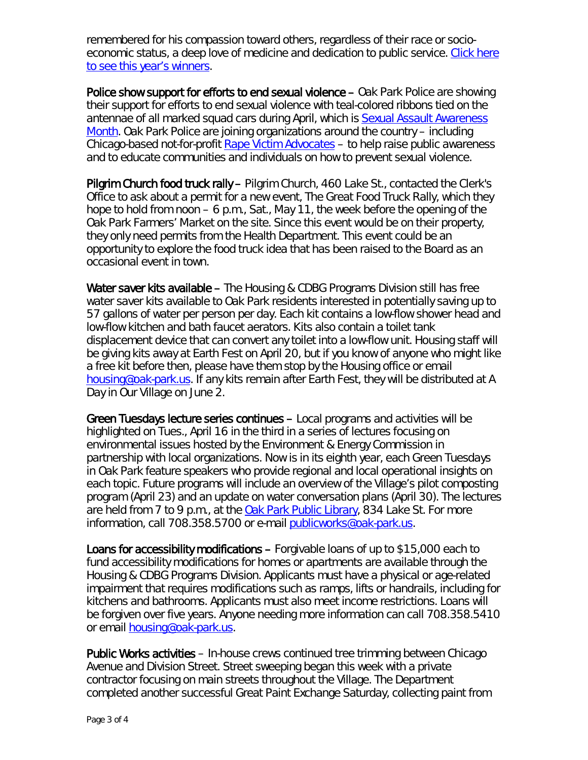remembered for his compassion toward others, regardless of their race or socioeconomic status, a deep love of medicine and dedication to public service. [Click here](http://www.oak-park.us/public/pdfs/News-Releases-2013/04.11.13-Public%20health%20contributors%20honored.pdf)  [to see this year's winners.](http://www.oak-park.us/public/pdfs/News-Releases-2013/04.11.13-Public%20health%20contributors%20honored.pdf)

Police show support for efforts to end sexual violence – Oak Park Police are showing their support for efforts to end sexual violence with teal-colored ribbons tied on the antennae of all marked squad cars during April, which is [Sexual Assault Awareness](http://r20.rs6.net/tn.jsp?e=001GNLBLqTAHkQfvMSH0jufc-Y7vuf5ASwdub5Xm2SNKbUKSWia43i7gQaAXq38ntrd9BMGL_jle7ZGzeepIVx5c5plcEd21Xaj9qrC6kKwpUW8RKbWxGCBHRq5CFn_TRLbWmy9FV1SoMjrE9PrjoGAO5iXW0hOEkY1)  [Month.](http://r20.rs6.net/tn.jsp?e=001GNLBLqTAHkQfvMSH0jufc-Y7vuf5ASwdub5Xm2SNKbUKSWia43i7gQaAXq38ntrd9BMGL_jle7ZGzeepIVx5c5plcEd21Xaj9qrC6kKwpUW8RKbWxGCBHRq5CFn_TRLbWmy9FV1SoMjrE9PrjoGAO5iXW0hOEkY1) Oak Park Police are joining organizations around the country – including Chicago-based not-for-profit [Rape Victim Advocates](http://www.rapevictimadvocates.org/) – to help raise public awareness and to educate communities and individuals on how to prevent sexual violence.

Pilgrim Church food truck rally – Pilgrim Church, 460 Lake St., contacted the Clerk's Office to ask about a permit for a new event, *The Great Food Truck Rally*, which they hope to hold from noon – 6 p.m., Sat., May 11, the week before the opening of the Oak Park Farmers' Market on the site. Since this event would be on their property, they only need permits from the Health Department. This event could be an opportunity to explore the food truck idea that has been raised to the Board as an occasional event in town.

Water saver kits available – The Housing & CDBG Programs Division still has free water saver kits available to Oak Park residents interested in potentially saving up to 57 gallons of water per person per day. Each kit contains a low-flow shower head and low-flow kitchen and bath faucet aerators. Kits also contain a toilet tank displacement device that can convert any toilet into a low-flow unit. Housing staff will be giving kits away at Earth Fest on April 20, but if you know of anyone who might like a free kit before then, please have them stop by the Housing office or email [housing@oak-park.us.](mailto:housing@oak-park.us) If any kits remain after Earth Fest, they will be distributed at A Day in Our Village on June 2.

Green Tuesdays lecture series continues – Local programs and activities will be highlighted on Tues., April 16 in the third in a series of lectures focusing on environmental issues hosted by the Environment & Energy Commission in partnership with local organizations. Now is in its eighth year, each *Green Tuesdays in Oak Park* feature speakers who provide regional and local operational insights on each topic. Future programs will include an overview of the Village's pilot composting program (April 23) and an update on water conversation plans (April 30). The lectures are held from 7 to 9 p.m., at the [Oak Park Public Library,](http://oppl.org/about/library-information/hours-locations/main-library) 834 Lake St. For more information, call 708.358.5700 or e-mail [publicworks@oak-park.us.](mailto:publicworks@oak-park.us)

Loans for accessibility modifications – Forgivable loans of up to \$15,000 each to fund accessibility modifications for homes or apartments are available through the Housing & CDBG Programs Division. Applicants must have a physical or age-related impairment that requires modifications such as ramps, lifts or handrails, including for kitchens and bathrooms. Applicants must also meet income restrictions. Loans will be forgiven over five years. Anyone needing more information can call 708.358.5410 or email **housing@oak-park.us.** 

Public Works activities – In-house crews continued tree trimming between Chicago Avenue and Division Street. Street sweeping began this week with a private contractor focusing on main streets throughout the Village. The Department completed another successful Great Paint Exchange Saturday, collecting paint from